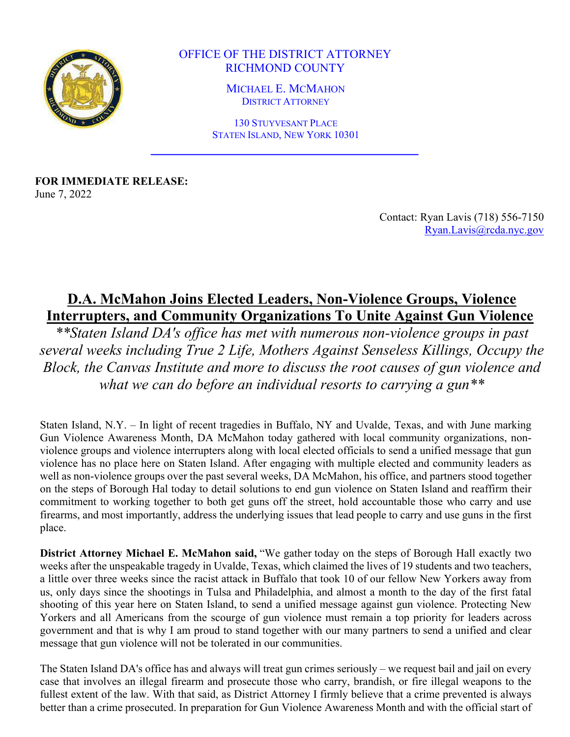

OFFICE OF THE DISTRICT ATTORNEY RICHMOND COUNTY

> MICHAEL E. MCMAHON DISTRICT ATTORNEY

130 STUYVESANT PLACE STATEN ISLAND, NEW YORK 10301

**FOR IMMEDIATE RELEASE:** June 7, 2022

> Contact: Ryan Lavis (718) 556-7150 Ryan.Lavis@rcda.nyc.gov

## **D.A. McMahon Joins Elected Leaders, Non-Violence Groups, Violence Interrupters, and Community Organizations To Unite Against Gun Violence**

*\*\*Staten Island DA's office has met with numerous non-violence groups in past several weeks including True 2 Life, Mothers Against Senseless Killings, Occupy the Block, the Canvas Institute and more to discuss the root causes of gun violence and what we can do before an individual resorts to carrying a gun\*\**

Staten Island, N.Y. – In light of recent tragedies in Buffalo, NY and Uvalde, Texas, and with June marking Gun Violence Awareness Month, DA McMahon today gathered with local community organizations, nonviolence groups and violence interrupters along with local elected officials to send a unified message that gun violence has no place here on Staten Island. After engaging with multiple elected and community leaders as well as non-violence groups over the past several weeks, DA McMahon, his office, and partners stood together on the steps of Borough Hal today to detail solutions to end gun violence on Staten Island and reaffirm their commitment to working together to both get guns off the street, hold accountable those who carry and use firearms, and most importantly, address the underlying issues that lead people to carry and use guns in the first place.

**District Attorney Michael E. McMahon said,** "We gather today on the steps of Borough Hall exactly two weeks after the unspeakable tragedy in Uvalde, Texas, which claimed the lives of 19 students and two teachers, a little over three weeks since the racist attack in Buffalo that took 10 of our fellow New Yorkers away from us, only days since the shootings in Tulsa and Philadelphia, and almost a month to the day of the first fatal shooting of this year here on Staten Island, to send a unified message against gun violence. Protecting New Yorkers and all Americans from the scourge of gun violence must remain a top priority for leaders across government and that is why I am proud to stand together with our many partners to send a unified and clear message that gun violence will not be tolerated in our communities.

The Staten Island DA's office has and always will treat gun crimes seriously – we request bail and jail on every case that involves an illegal firearm and prosecute those who carry, brandish, or fire illegal weapons to the fullest extent of the law. With that said, as District Attorney I firmly believe that a crime prevented is always better than a crime prosecuted. In preparation for Gun Violence Awareness Month and with the official start of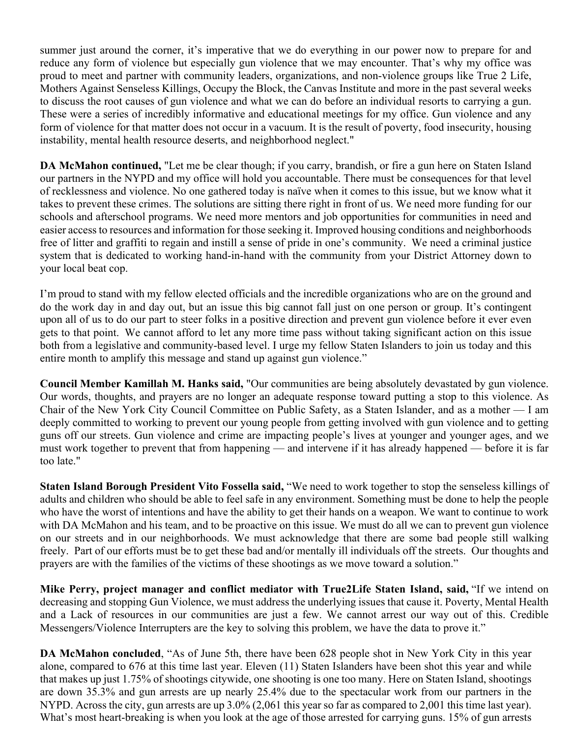summer just around the corner, it's imperative that we do everything in our power now to prepare for and reduce any form of violence but especially gun violence that we may encounter. That's why my office was proud to meet and partner with community leaders, organizations, and non-violence groups like True 2 Life, Mothers Against Senseless Killings, Occupy the Block, the Canvas Institute and more in the past several weeks to discuss the root causes of gun violence and what we can do before an individual resorts to carrying a gun. These were a series of incredibly informative and educational meetings for my office. Gun violence and any form of violence for that matter does not occur in a vacuum. It is the result of poverty, food insecurity, housing instability, mental health resource deserts, and neighborhood neglect."

**DA McMahon continued,** "Let me be clear though; if you carry, brandish, or fire a gun here on Staten Island our partners in the NYPD and my office will hold you accountable. There must be consequences for that level of recklessness and violence. No one gathered today is naïve when it comes to this issue, but we know what it takes to prevent these crimes. The solutions are sitting there right in front of us. We need more funding for our schools and afterschool programs. We need more mentors and job opportunities for communities in need and easier access to resources and information for those seeking it. Improved housing conditions and neighborhoods free of litter and graffiti to regain and instill a sense of pride in one's community. We need a criminal justice system that is dedicated to working hand-in-hand with the community from your District Attorney down to your local beat cop.

I'm proud to stand with my fellow elected officials and the incredible organizations who are on the ground and do the work day in and day out, but an issue this big cannot fall just on one person or group. It's contingent upon all of us to do our part to steer folks in a positive direction and prevent gun violence before it ever even gets to that point. We cannot afford to let any more time pass without taking significant action on this issue both from a legislative and community-based level. I urge my fellow Staten Islanders to join us today and this entire month to amplify this message and stand up against gun violence."

**Council Member Kamillah M. Hanks said,** "Our communities are being absolutely devastated by gun violence. Our words, thoughts, and prayers are no longer an adequate response toward putting a stop to this violence. As Chair of the New York City Council Committee on Public Safety, as a Staten Islander, and as a mother — I am deeply committed to working to prevent our young people from getting involved with gun violence and to getting guns off our streets. Gun violence and crime are impacting people's lives at younger and younger ages, and we must work together to prevent that from happening — and intervene if it has already happened — before it is far too late."

**Staten Island Borough President Vito Fossella said,** "We need to work together to stop the senseless killings of adults and children who should be able to feel safe in any environment. Something must be done to help the people who have the worst of intentions and have the ability to get their hands on a weapon. We want to continue to work with DA McMahon and his team, and to be proactive on this issue. We must do all we can to prevent gun violence on our streets and in our neighborhoods. We must acknowledge that there are some bad people still walking freely. Part of our efforts must be to get these bad and/or mentally ill individuals off the streets. Our thoughts and prayers are with the families of the victims of these shootings as we move toward a solution."

**Mike Perry, project manager and conflict mediator with True2Life Staten Island, said,** "If we intend on decreasing and stopping Gun Violence, we must address the underlying issues that cause it. Poverty, Mental Health and a Lack of resources in our communities are just a few. We cannot arrest our way out of this. Credible Messengers/Violence Interrupters are the key to solving this problem, we have the data to prove it."

**DA McMahon concluded**, "As of June 5th, there have been 628 people shot in New York City in this year alone, compared to 676 at this time last year. Eleven (11) Staten Islanders have been shot this year and while that makes up just 1.75% of shootings citywide, one shooting is one too many. Here on Staten Island, shootings are down 35.3% and gun arrests are up nearly 25.4% due to the spectacular work from our partners in the NYPD. Across the city, gun arrests are up 3.0% (2,061 this year so far as compared to 2,001 this time last year). What's most heart-breaking is when you look at the age of those arrested for carrying guns. 15% of gun arrests